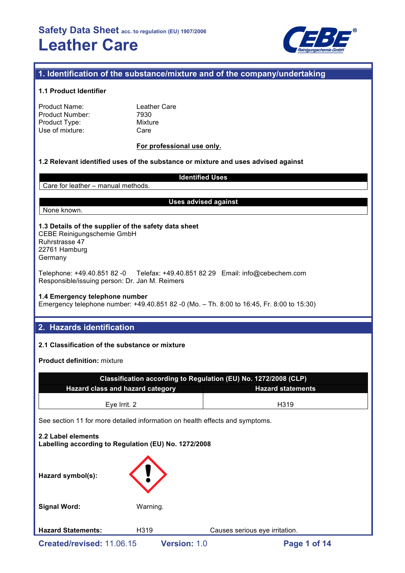

# **1. Identification of the substance/mixture and of the company/undertaking**

#### **1.1 Product Identifier**

| Leath |
|-------|
| 7930  |
| Mixtu |
| Care  |
|       |

Leather Care Mixture Care

#### **For professional use only.**

## **1.2 Relevant identified uses of the substance or mixture and uses advised against**

Care for leather – manual methods.

#### **Uses advised against**

**Identified Uses**

#### None known.

#### **1.3 Details of the supplier of the safety data sheet** CEBE Reinigungschemie GmbH

Ruhrstrasse 47 22761 Hamburg Germany

Telephone: +49.40.851 82 -0 Telefax: +49.40.851 82 29 Email: info@cebechem.com Responsible/issuing person: Dr. Jan M. Reimers

#### **1.4 Emergency telephone number**

Emergency telephone number: +49.40.851 82 -0 (Mo. – Th. 8:00 to 16:45, Fr. 8:00 to 15:30)

# **2. Hazards identification**

# **2.1 Classification of the substance or mixture**

**Product definition:** mixture

| Classification according to Regulation (EU) No. 1272/2008 (CLP)            |                                                                              |  |  |  |  |  |
|----------------------------------------------------------------------------|------------------------------------------------------------------------------|--|--|--|--|--|
| Hazard class and hazard category                                           | <b>Hazard statements</b>                                                     |  |  |  |  |  |
| Eye Irrit. 2                                                               | H <sub>319</sub>                                                             |  |  |  |  |  |
|                                                                            | See section 11 for more detailed information on health effects and symptoms. |  |  |  |  |  |
| 2.2 Label elements<br>Labelling according to Regulation (EU) No. 1272/2008 |                                                                              |  |  |  |  |  |
| Hazard symbol(s):                                                          |                                                                              |  |  |  |  |  |

**Signal Word:** Warning.

**Hazard Statements:** H319 Causes serious eye irritation.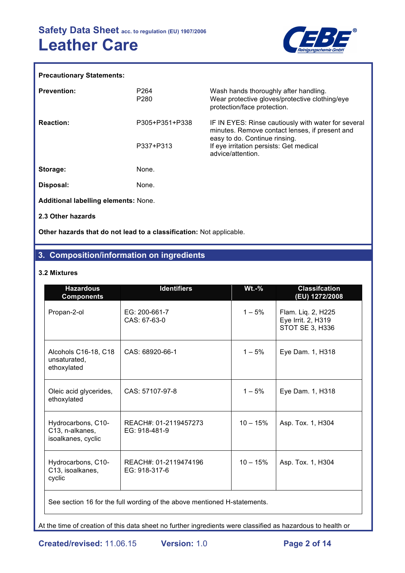

# **Precautionary Statements:**

| <b>Prevention:</b>                          | P <sub>264</sub><br>P <sub>280</sub> | Wash hands thoroughly after handling.<br>Wear protective gloves/protective clothing/eye<br>protection/face protection.                 |
|---------------------------------------------|--------------------------------------|----------------------------------------------------------------------------------------------------------------------------------------|
| <b>Reaction:</b>                            | P305+P351+P338                       | IF IN EYES: Rinse cautiously with water for several<br>minutes. Remove contact lenses, if present and<br>easy to do. Continue rinsing. |
|                                             | P337+P313                            | If eye irritation persists: Get medical<br>advice/attention.                                                                           |
| Storage:                                    | None.                                |                                                                                                                                        |
| Disposal:                                   | None.                                |                                                                                                                                        |
| <b>Additional labelling elements: None.</b> |                                      |                                                                                                                                        |
| 2.3 Other hazards                           |                                      |                                                                                                                                        |

**Other hazards that do not lead to a classification:** Not applicable.

# **3. Composition/information on ingredients**

## **3.2 Mixtures**

| <b>Hazardous</b><br><b>Components</b>                       | <b>Identifiers</b>                     | $Wt.-%$    | <b>Classifcation</b><br>(EU) 1272/2008                      |
|-------------------------------------------------------------|----------------------------------------|------------|-------------------------------------------------------------|
| Propan-2-ol                                                 | EG: 200-661-7<br>CAS: 67-63-0          | $1 - 5%$   | Flam. Liq. 2, H225<br>Eye Irrit. 2, H319<br>STOT SE 3, H336 |
| Alcohols C16-18, C18<br>unsaturated,<br>ethoxylated         | CAS: 68920-66-1                        | $1 - 5%$   | Eye Dam. 1, H318                                            |
| Oleic acid glycerides,<br>ethoxylated                       | CAS: 57107-97-8                        | $1 - 5%$   | Eye Dam. 1, H318                                            |
| Hydrocarbons, C10-<br>C13, n-alkanes,<br>isoalkanes, cyclic | REACH#: 01-2119457273<br>EG: 918-481-9 | $10 - 15%$ | Asp. Tox. 1, H304                                           |
| Hydrocarbons, C10-<br>C13, isoalkanes,<br>cyclic            | REACH#: 01-2119474196<br>EG: 918-317-6 | $10 - 15%$ | Asp. Tox. 1, H304                                           |

See section 16 for the full wording of the above mentioned H-statements.

At the time of creation of this data sheet no further ingredients were classified as hazardous to health or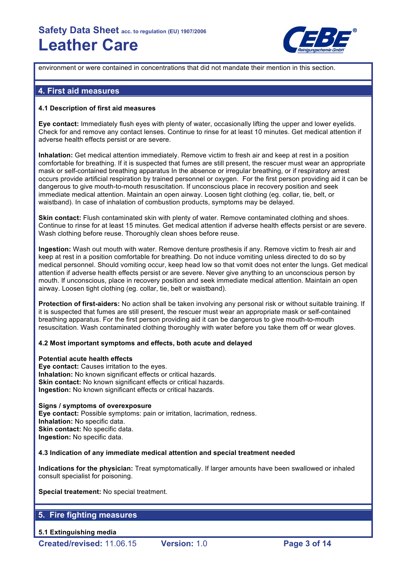

environment or were contained in concentrations that did not mandate their mention in this section.

# **4. First aid measures**

#### **4.1 Description of first aid measures**

**Eye contact:** Immediately flush eyes with plenty of water, occasionally lifting the upper and lower eyelids. Check for and remove any contact lenses. Continue to rinse for at least 10 minutes. Get medical attention if adverse health effects persist or are severe.

**Inhalation:** Get medical attention immediately. Remove victim to fresh air and keep at rest in a position comfortable for breathing. If it is suspected that fumes are still present, the rescuer must wear an appropriate mask or self-contained breathing apparatus In the absence or irregular breathing, or if respiratory arrest occurs provide artificial respiration by trained personnel or oxygen. For the first person providing aid it can be dangerous to give mouth-to-mouth resuscitation. If unconscious place in recovery position and seek immediate medical attention. Maintain an open airway. Loosen tight clothing (eg. collar, tie, belt, or waistband). In case of inhalation of combustion products, symptoms may be delayed.

**Skin contact:** Flush contaminated skin with plenty of water. Remove contaminated clothing and shoes. Continue to rinse for at least 15 minutes. Get medical attention if adverse health effects persist or are severe. Wash clothing before reuse. Thoroughly clean shoes before reuse.

**Ingestion:** Wash out mouth with water. Remove denture prosthesis if any. Remove victim to fresh air and keep at rest in a position comfortable for breathing. Do not induce vomiting unless directed to do so by medical personnel. Should vomiting occur, keep head low so that vomit does not enter the lungs. Get medical attention if adverse health effects persist or are severe. Never give anything to an unconscious person by mouth. If unconscious, place in recovery position and seek immediate medical attention. Maintain an open airway. Loosen tight clothing (eg. collar, tie, belt or waistband).

**Protection of first-aiders:** No action shall be taken involving any personal risk or without suitable training. If it is suspected that fumes are still present, the rescuer must wear an appropriate mask or self-contained breathing apparatus. For the first person providing aid it can be dangerous to give mouth-to-mouth resuscitation. Wash contaminated clothing thoroughly with water before you take them off or wear gloves.

## **4.2 Most important symptoms and effects, both acute and delayed**

#### **Potential acute health effects**

**Eye contact:** Causes irritation to the eyes. **Inhalation:** No known significant effects or critical hazards. **Skin contact:** No known significant effects or critical hazards. **Ingestion:** No known significant effects or critical hazards.

#### **Signs / symptoms of overexposure**

**Eye contact:** Possible symptoms: pain or irritation, lacrimation, redness. **Inhalation:** No specific data. **Skin contact: No specific data. Ingestion:** No specific data.

#### **4.3 Indication of any immediate medical attention and special treatment needed**

**Indications for the physician:** Treat symptomatically. If larger amounts have been swallowed or inhaled consult specialist for poisoning.

**Special treatement:** No special treatment.

# **5. Fire fighting measures**

**5.1 Extinguishing media**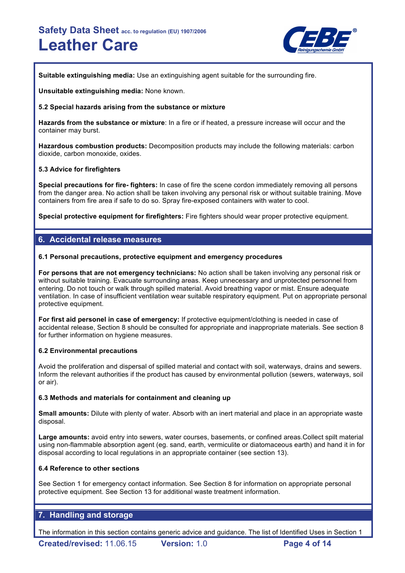

**Suitable extinguishing media:** Use an extinguishing agent suitable for the surrounding fire.

**Unsuitable extinguishing media:** None known.

# **5.2 Special hazards arising from the substance or mixture**

**Hazards from the substance or mixture**: In a fire or if heated, a pressure increase will occur and the container may burst.

**Hazardous combustion products:** Decomposition products may include the following materials: carbon dioxide, carbon monoxide, oxides.

## **5.3 Advice for firefighters**

**Special precautions for fire- fighters:** In case of fire the scene cordon immediately removing all persons from the danger area. No action shall be taken involving any personal risk or without suitable training. Move containers from fire area if safe to do so. Spray fire-exposed containers with water to cool.

**Special protective equipment for firefighters:** Fire fighters should wear proper protective equipment.

# **6. Accidental release measures**

## **6.1 Personal precautions, protective equipment and emergency procedures**

**For persons that are not emergency technicians:** No action shall be taken involving any personal risk or without suitable training. Evacuate surrounding areas. Keep unnecessary and unprotected personnel from entering. Do not touch or walk through spilled material. Avoid breathing vapor or mist. Ensure adequate ventilation. In case of insufficient ventilation wear suitable respiratory equipment. Put on appropriate personal protective equipment.

**For first aid personel in case of emergency:** If protective equipment/clothing is needed in case of accidental release, Section 8 should be consulted for appropriate and inappropriate materials. See section 8 for further information on hygiene measures.

## **6.2 Environmental precautions**

Avoid the proliferation and dispersal of spilled material and contact with soil, waterways, drains and sewers. Inform the relevant authorities if the product has caused by environmental pollution (sewers, waterways, soil or air).

## **6.3 Methods and materials for containment and cleaning up**

**Small amounts:** Dilute with plenty of water. Absorb with an inert material and place in an appropriate waste disposal.

**Large amounts:** avoid entry into sewers, water courses, basements, or confined areas.Collect spilt material using non-flammable absorption agent (eg. sand, earth, vermiculite or diatomaceous earth) and hand it in for disposal according to local regulations in an appropriate container (see section 13).

## **6.4 Reference to other sections**

See Section 1 for emergency contact information. See Section 8 for information on appropriate personal protective equipment. See Section 13 for additional waste treatment information.

# **7. Handling and storage**

The information in this section contains generic advice and guidance. The list of Identified Uses in Section 1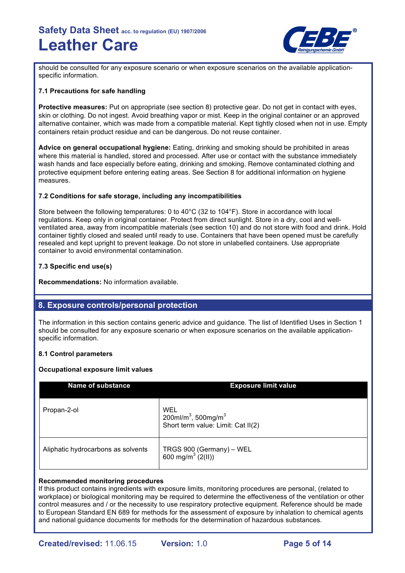

should be consulted for any exposure scenario or when exposure scenarios on the available applicationspecific information.

## **7.1 Precautions for safe handling**

**Protective measures:** Put on appropriate (see section 8) protective gear. Do not get in contact with eyes, skin or clothing. Do not ingest. Avoid breathing vapor or mist. Keep in the original container or an approved alternative container, which was made from a compatible material. Kept tightly closed when not in use. Empty containers retain product residue and can be dangerous. Do not reuse container.

**Advice on general occupational hygiene:** Eating, drinking and smoking should be prohibited in areas where this material is handled, stored and processed. After use or contact with the substance immediately wash hands and face especially before eating, drinking and smoking. Remove contaminated clothing and protective equipment before entering eating areas. See Section 8 for additional information on hygiene measures.

#### **7.2 Conditions for safe storage, including any incompatibilities**

Store between the following temperatures: 0 to 40°C (32 to 104°F). Store in accordance with local regulations. Keep only in original container. Protect from direct sunlight. Store in a dry, cool and wellventilated area, away from incompatible materials (see section 10) and do not store with food and drink. Hold container tightly closed and sealed until ready to use. Containers that have been opened must be carefully resealed and kept upright to prevent leakage. Do not store in unlabelled containers. Use appropriate container to avoid environmental contamination.

## **7.3 Specific end use(s)**

**Recommendations:** No information available.

# **8. Exposure controls/personal protection**

The information in this section contains generic advice and guidance. The list of Identified Uses in Section 1 should be consulted for any exposure scenario or when exposure scenarios on the available applicationspecific information.

## **8.1 Control parameters**

#### **Occupational exposure limit values**

| <b>Name of substance</b>           | <b>Exposure limit value</b>                                                              |
|------------------------------------|------------------------------------------------------------------------------------------|
| Propan-2-ol                        | WEL<br>200ml/m <sup>3</sup> , 500mg/m <sup>3</sup><br>Short term value: Limit: Cat II(2) |
| Aliphatic hydrocarbons as solvents | TRGS 900 (Germany) – WEL<br>600 mg/m <sup>3</sup> (2(II))                                |

#### **Recommended monitoring procedures**

If this product contains ingredients with exposure limits, monitoring procedures are personal, (related to workplace) or biological monitoring may be required to determine the effectiveness of the ventilation or other control measures and / or the necessity to use respiratory protective equipment. Reference should be made to European Standard EN 689 for methods for the assessment of exposure by inhalation to chemical agents and national guidance documents for methods for the determination of hazardous substances.

**Created/revised:** 11.06.15 **Version:** 1.0 **Page 5 of 14**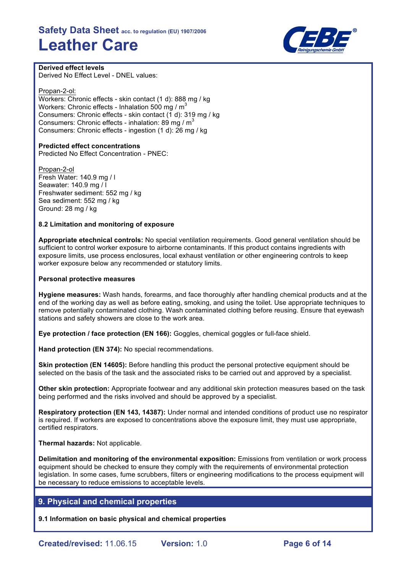

**Derived effect levels** Derived No Effect Level - DNEL values:

Propan-2-ol: Workers: Chronic effects - skin contact (1 d): 888 mg / kg Workers: Chronic effects - Inhalation 500 mg / m<sup>3</sup> Consumers: Chronic effects - skin contact (1 d): 319 mg / kg Consumers: Chronic effects - inhalation: 89 mg /  $m<sup>3</sup>$ Consumers: Chronic effects - ingestion (1 d): 26 mg / kg

## **Predicted effect concentrations**

Predicted No Effect Concentration - PNEC:

Propan-2-ol Fresh Water: 140.9 mg / l Seawater: 140.9 mg / l Freshwater sediment: 552 mg / kg Sea sediment: 552 mg / kg Ground: 28 mg / kg

#### **8.2 Limitation and monitoring of exposure**

**Appropriate etechnical controls:** No special ventilation requirements. Good general ventilation should be sufficient to control worker exposure to airborne contaminants. If this product contains ingredients with exposure limits, use process enclosures, local exhaust ventilation or other engineering controls to keep worker exposure below any recommended or statutory limits.

#### **Personal protective measures**

**Hygiene measures:** Wash hands, forearms, and face thoroughly after handling chemical products and at the end of the working day as well as before eating, smoking, and using the toilet. Use appropriate techniques to remove potentially contaminated clothing. Wash contaminated clothing before reusing. Ensure that eyewash stations and safety showers are close to the work area.

**Eye protection / face protection (EN 166):** Goggles, chemical goggles or full-face shield.

**Hand protection (EN 374):** No special recommendations.

**Skin protection (EN 14605):** Before handling this product the personal protective equipment should be selected on the basis of the task and the associated risks to be carried out and approved by a specialist.

**Other skin protection:** Appropriate footwear and any additional skin protection measures based on the task being performed and the risks involved and should be approved by a specialist.

**Respiratory protection (EN 143, 14387):** Under normal and intended conditions of product use no respirator is required. If workers are exposed to concentrations above the exposure limit, they must use appropriate, certified respirators.

**Thermal hazards:** Not applicable.

**Delimitation and monitoring of the environmental exposition:** Emissions from ventilation or work process equipment should be checked to ensure they comply with the requirements of environmental protection legislation. In some cases, fume scrubbers, filters or engineering modifications to the process equipment will be necessary to reduce emissions to acceptable levels.

# **9. Physical and chemical properties**

**9.1 Information on basic physical and chemical properties**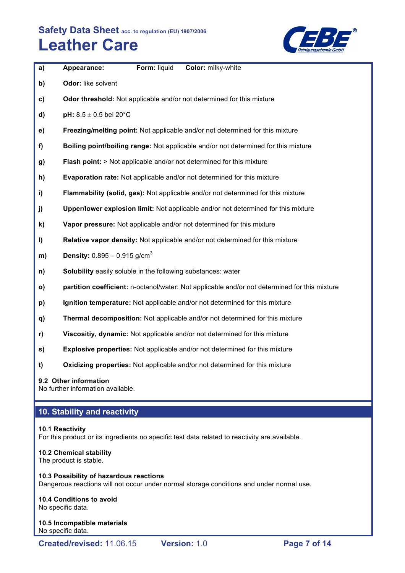

| a)            | Form: liquid<br>Color: milky-white<br>Appearance:                                             |
|---------------|-----------------------------------------------------------------------------------------------|
| b)            | Odor: like solvent                                                                            |
| $\mathbf{c})$ | Odor threshold: Not applicable and/or not determined for this mixture                         |
| d)            | pH: $8.5 \pm 0.5$ bei 20°C                                                                    |
| e)            | Freezing/melting point: Not applicable and/or not determined for this mixture                 |
| f)            | Boiling point/boiling range: Not applicable and/or not determined for this mixture            |
| g)            | Flash point: > Not applicable and/or not determined for this mixture                          |
| h)            | Evaporation rate: Not applicable and/or not determined for this mixture                       |
| i)            | Flammability (solid, gas): Not applicable and/or not determined for this mixture              |
| j)            | Upper/lower explosion limit: Not applicable and/or not determined for this mixture            |
| k)            | Vapor pressure: Not applicable and/or not determined for this mixture                         |
| I)            | Relative vapor density: Not applicable and/or not determined for this mixture                 |
| m)            | <b>Density:</b> $0.895 - 0.915$ g/cm <sup>3</sup>                                             |
| n)            | Solubility easily soluble in the following substances: water                                  |
| $\mathsf{o}$  | partition coefficient: n-octanol/water: Not applicable and/or not determined for this mixture |
| p)            | Ignition temperature: Not applicable and/or not determined for this mixture                   |
| q)            | Thermal decomposition: Not applicable and/or not determined for this mixture                  |
| r)            | Viscositiy, dynamic: Not applicable and/or not determined for this mixture                    |
| s)            | <b>Explosive properties:</b> Not applicable and/or not determined for this mixture            |
| t)            | Oxidizing properties: Not applicable and/or not determined for this mixture                   |

# **9.2 Other information**

No further information available.

# **10. Stability and reactivity**

# **10.1 Reactivity**

For this product or its ingredients no specific test data related to reactivity are available.

# **10.2 Chemical stability**

The product is stable.

# **10.3 Possibility of hazardous reactions** Dangerous reactions will not occur under normal storage conditions and under normal use.

# **10.4 Conditions to avoid**

No specific data.

#### **10.5 Incompatible materials** No specific data.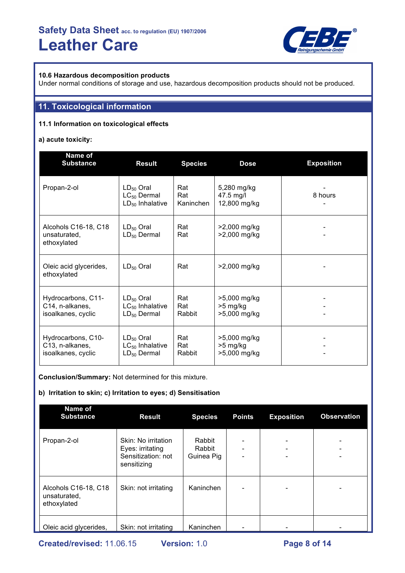

# **10.6 Hazardous decomposition products**

Under normal conditions of storage and use, hazardous decomposition products should not be produced.

# **11. Toxicological information**

# **11.1 Information on toxicological effects**

# **a) acute toxicity:**

| Name of<br><b>Substance</b>                                 | <b>Result</b>                                              | <b>Species</b>          | <b>Dose</b>                              | <b>Exposition</b> |
|-------------------------------------------------------------|------------------------------------------------------------|-------------------------|------------------------------------------|-------------------|
| Propan-2-ol                                                 | $LD_{50}$ Oral<br>$LC_{50}$ Dermal<br>$LD_{50}$ Inhalative | Rat<br>Rat<br>Kaninchen | 5,280 mg/kg<br>47.5 mg/l<br>12,800 mg/kg | 8 hours           |
| Alcohols C16-18, C18<br>unsaturated,<br>ethoxylated         | $LD_{50}$ Oral<br>$LD_{50}$ Dermal                         | Rat<br>Rat              | >2,000 mg/kg<br>>2,000 mg/kg             |                   |
| Oleic acid glycerides,<br>ethoxylated                       | $LD_{50}$ Oral                                             | Rat                     | >2,000 mg/kg                             |                   |
| Hydrocarbons, C11-<br>C14, n-alkanes,<br>isoalkanes, cyclic | $LD_{50}$ Oral<br>$LC_{50}$ Inhalative<br>$LD_{50}$ Dermal | Rat<br>Rat<br>Rabbit    | >5,000 mg/kg<br>>5 mg/kg<br>>5,000 mg/kg |                   |
| Hydrocarbons, C10-<br>C13, n-alkanes,<br>isoalkanes, cyclic | $LD_{50}$ Oral<br>$LC_{50}$ Inhalative<br>$LD_{50}$ Dermal | Rat<br>Rat<br>Rabbit    | >5,000 mg/kg<br>>5 mg/kg<br>>5,000 mg/kg |                   |

**Conclusion/Summary:** Not determined for this mixture.

## **b) Irritation to skin; c) Irritation to eyes; d) Sensitisation**

| Name of<br><b>Substance</b>                         | <b>Result</b>                                                                | <b>Species</b>                 | <b>Points</b>                | <b>Exposition</b> | <b>Observation</b>       |
|-----------------------------------------------------|------------------------------------------------------------------------------|--------------------------------|------------------------------|-------------------|--------------------------|
| Propan-2-ol                                         | Skin: No irritation<br>Eyes: irritating<br>Sensitization: not<br>sensitizing | Rabbit<br>Rabbit<br>Guinea Pig | $\qquad \qquad \blacksquare$ |                   | $\overline{\phantom{0}}$ |
| Alcohols C16-18, C18<br>unsaturated,<br>ethoxylated | Skin: not irritating                                                         | Kaninchen                      | -                            |                   |                          |
| Oleic acid glycerides,                              | Skin: not irritating                                                         | Kaninchen                      |                              |                   |                          |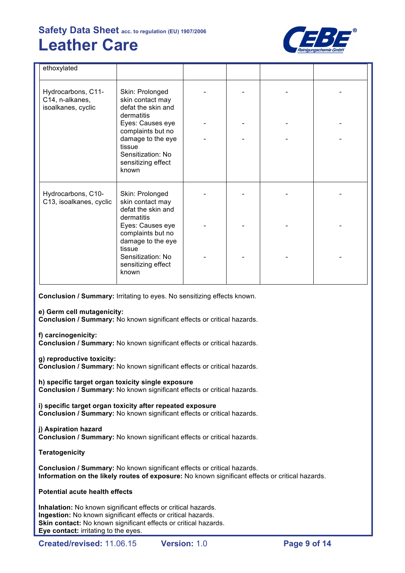

| ethoxylated                                                 |                                                                                 |  |  |
|-------------------------------------------------------------|---------------------------------------------------------------------------------|--|--|
| Hydrocarbons, C11-<br>C14, n-alkanes,<br>isoalkanes, cyclic | Skin: Prolonged<br>skin contact may<br>defat the skin and<br>dermatitis         |  |  |
|                                                             | Eyes: Causes eye<br>complaints but no                                           |  |  |
|                                                             | damage to the eye<br>tissue<br>Sensitization: No<br>sensitizing effect<br>known |  |  |
| Hydrocarbons, C10-<br>C13, isoalkanes, cyclic               | Skin: Prolonged<br>skin contact may<br>defat the skin and<br>dermatitis         |  |  |
|                                                             | Eyes: Causes eye<br>complaints but no<br>damage to the eye<br>tissue            |  |  |
|                                                             | Sensitization: No<br>sensitizing effect<br>known                                |  |  |

**Conclusion / Summary:** Irritating to eyes. No sensitizing effects known.

**e) Germ cell mutagenicity:**

**Conclusion / Summary:** No known significant effects or critical hazards.

**f) carcinogenicity:**

**Conclusion / Summary:** No known significant effects or critical hazards.

**g) reproductive toxicity:**

**Conclusion / Summary:** No known significant effects or critical hazards.

**h) specific target organ toxicity single exposure Conclusion / Summary:** No known significant effects or critical hazards.

**i) specific target organ toxicity after repeated exposure Conclusion / Summary:** No known significant effects or critical hazards.

#### **j) Aspiration hazard Conclusion / Summary:** No known significant effects or critical hazards.

# **Teratogenicity**

**Conclusion / Summary:** No known significant effects or critical hazards. **Information on the likely routes of exposure:** No known significant effects or critical hazards.

# **Potential acute health effects**

**Inhalation:** No known significant effects or critical hazards. **Ingestion:** No known significant effects or critical hazards. **Skin contact:** No known significant effects or critical hazards. **Eye contact:** irritating to the eyes.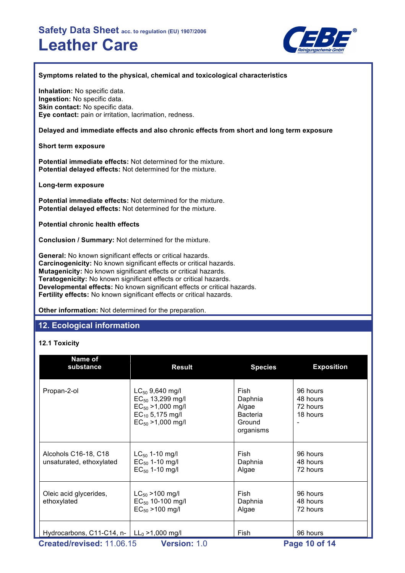

## **Symptoms related to the physical, chemical and toxicological characteristics**

**Inhalation:** No specific data. **Ingestion:** No specific data. **Skin contact:** No specific data. **Eye contact:** pain or irritation, lacrimation, redness.

# **Delayed and immediate effects and also chronic effects from short and long term exposure**

# **Short term exposure**

**Potential immediate effects:** Not determined for the mixture. **Potential delayed effects:** Not determined for the mixture.

# **Long-term exposure**

**Potential immediate effects:** Not determined for the mixture. **Potential delayed effects:** Not determined for the mixture.

# **Potential chronic health effects**

**Conclusion / Summary:** Not determined for the mixture.

**General:** No known significant effects or critical hazards. **Carcinogenicity:** No known significant effects or critical hazards. **Mutagenicity:** No known significant effects or critical hazards. **Teratogenicity:** No known significant effects or critical hazards. **Developmental effects:** No known significant effects or critical hazards. **Fertility effects:** No known significant effects or critical hazards.

**Other information:** Not determined for the preparation.

# **12. Ecological information**

# **12.1 Toxicity**

| Name of<br>substance                                              | <b>Result</b>                                                                                                             | <b>Species</b>                                                     | <b>Exposition</b>                            |  |
|-------------------------------------------------------------------|---------------------------------------------------------------------------------------------------------------------------|--------------------------------------------------------------------|----------------------------------------------|--|
| Propan-2-ol                                                       | $LC_{50}$ 9,640 mg/l<br>$EC_{50}$ 13,299 mg/l<br>$EC_{50} > 1,000$ mg/l<br>$EC_{10}$ 5,175 mg/l<br>$EC_{50} > 1,000$ mg/l | Fish<br>Daphnia<br>Algae<br><b>Bacteria</b><br>Ground<br>organisms | 96 hours<br>48 hours<br>72 hours<br>18 hours |  |
| Alcohols C16-18, C18<br>unsaturated, ethoxylated                  | $LC_{50}$ 1-10 mg/l<br>$EC_{50}$ 1-10 mg/l<br>$EC_{50}$ 1-10 mg/l                                                         | Fish<br>Daphnia<br>Algae                                           | 96 hours<br>48 hours<br>72 hours             |  |
| Oleic acid glycerides,<br>ethoxylated                             | $LC_{50}$ > 100 mg/l<br>$EC_{50}$ 10-100 mg/l<br>$EC_{50} > 100$ mg/l                                                     | Fish<br>Daphnia<br>Algae                                           | 96 hours<br>48 hours<br>72 hours             |  |
| Hydrocarbons, C11-C14, n- $  L0 > 1,000$ mg/l                     |                                                                                                                           | Fish                                                               | 96 hours                                     |  |
| Created/revised: 11.06.15<br><b>Version: 1.0</b><br>Page 10 of 14 |                                                                                                                           |                                                                    |                                              |  |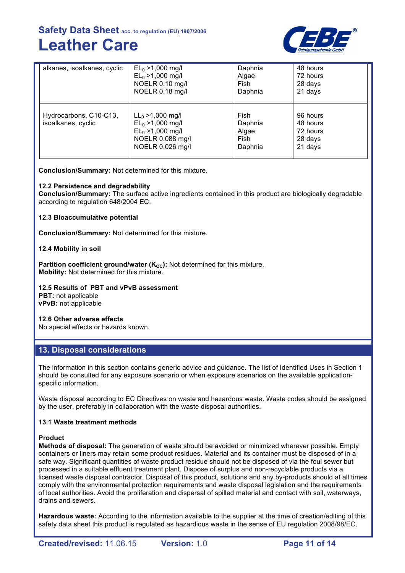

| alkanes, isoalkanes, cyclic                  | $EL_0 > 1,000$ mg/l                                                                                       | Daphnia                                     | 48 hours                                               |
|----------------------------------------------|-----------------------------------------------------------------------------------------------------------|---------------------------------------------|--------------------------------------------------------|
|                                              | $EL_0 > 1,000$ mg/l                                                                                       | Algae                                       | 72 hours                                               |
|                                              | NOELR 0.10 mg/l                                                                                           | Fish                                        | 28 days                                                |
|                                              | NOELR 0.18 mg/l                                                                                           | Daphnia                                     | 21 days                                                |
| Hydrocarbons, C10-C13,<br>isoalkanes, cyclic | $LL_0 > 1,000$ mg/l<br>$EL_0 > 1,000$ mg/l<br>$EL_0 > 1,000$ mg/l<br>NOELR 0.088 mg/l<br>NOELR 0.026 mg/l | Fish<br>Daphnia<br>Algae<br>Fish<br>Daphnia | 96 hours<br>48 hours<br>72 hours<br>28 days<br>21 days |

**Conclusion/Summary:** Not determined for this mixture.

#### **12.2 Persistence and degradability**

**Conclusion/Summary:** The surface active ingredients contained in this product are biologically degradable according to regulation 648/2004 EC.

#### **12.3 Bioaccumulative potential**

**Conclusion/Summary:** Not determined for this mixture.

#### **12.4 Mobility in soil**

**Partition coefficient ground/water (K<sub>OC</sub>):** Not determined for this mixture. **Mobility:** Not determined for this mixture.

#### **12.5 Results of PBT and vPvB assessment**

**PBT:** not applicable **vPvB:** not applicable

#### **12.6 Other adverse effects**

No special effects or hazards known.

# **13. Disposal considerations**

The information in this section contains generic advice and guidance. The list of Identified Uses in Section 1 should be consulted for any exposure scenario or when exposure scenarios on the available applicationspecific information.

Waste disposal according to EC Directives on waste and hazardous waste. Waste codes should be assigned by the user, preferably in collaboration with the waste disposal authorities.

#### **13.1 Waste treatment methods**

#### **Product**

**Methods of disposal:** The generation of waste should be avoided or minimized wherever possible. Empty containers or liners may retain some product residues. Material and its container must be disposed of in a safe way. Significant quantities of waste product residue should not be disposed of via the foul sewer but processed in a suitable effluent treatment plant. Dispose of surplus and non-recyclable products via a licensed waste disposal contractor. Disposal of this product, solutions and any by-products should at all times comply with the environmental protection requirements and waste disposal legislation and the requirements of local authorities. Avoid the proliferation and dispersal of spilled material and contact with soil, waterways, drains and sewers.

**Hazardous waste:** According to the information available to the supplier at the time of creation/editing of this safety data sheet this product is regulated as hazardious waste in the sense of EU regulation 2008/98/EC.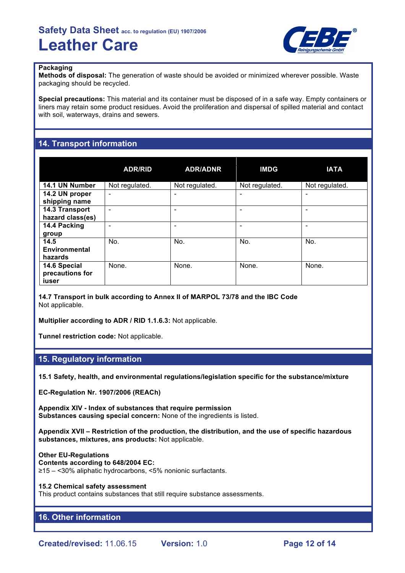

#### **Packaging**

**Methods of disposal:** The generation of waste should be avoided or minimized wherever possible. Waste packaging should be recycled.

**Special precautions:** This material and its container must be disposed of in a safe way. Empty containers or liners may retain some product residues. Avoid the proliferation and dispersal of spilled material and contact with soil, waterways, drains and sewers.

# **14. Transport information**

|                                          | <b>ADR/RID</b>               | <b>ADR/ADNR</b>          | <b>IMDG</b>    | <b>IATA</b>    |
|------------------------------------------|------------------------------|--------------------------|----------------|----------------|
| 14.1 UN Number                           | Not regulated.               | Not regulated.           | Not regulated. | Not regulated. |
| 14.2 UN proper<br>shipping name          | $\qquad \qquad \blacksquare$ | -                        | -              | ۰              |
| 14.3 Transport<br>hazard class(es)       | $\qquad \qquad \blacksquare$ | $\overline{\phantom{0}}$ |                | ۰              |
| 14.4 Packing<br>group                    |                              |                          |                | ۰              |
| 14.5<br>Environmental<br>hazards         | No.                          | No.                      | No.            | No.            |
| 14.6 Special<br>precautions for<br>iuser | None.                        | None.                    | None.          | None.          |

**14.7 Transport in bulk according to Annex II of MARPOL 73/78 and the IBC Code** Not applicable.

**Multiplier according to ADR / RID 1.1.6.3:** Not applicable.

**Tunnel restriction code:** Not applicable.

# **15. Regulatory information**

**15.1 Safety, health, and environmental regulations/legislation specific for the substance/mixture**

**EC-Regulation Nr. 1907/2006 (REACh)**

**Appendix XIV - Index of substances that require permission Substances causing special concern:** None of the ingredients is listed.

**Appendix XVII – Restriction of the production, the distribution, and the use of specific hazardous substances, mixtures, ans products:** Not applicable.

#### **Other EU-Regulations**

#### **Contents according to 648/2004 EC:**

≥15 – <30% aliphatic hydrocarbons, <5% nonionic surfactants.

#### **15.2 Chemical safety assessment**

This product contains substances that still require substance assessments.

# **16. Other information**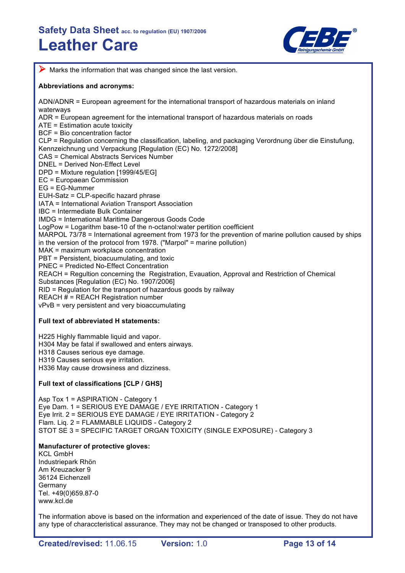

 $\triangleright$  Marks the information that was changed since the last version.

## **Abbreviations and acronyms:**

ADN/ADNR = European agreement for the international transport of hazardous materials on inland waterways

ADR = European agreement for the international transport of hazardous materials on roads ATE = Estimation acute toxicity

BCF = Bio concentration factor

CLP = Regulation concerning the classification, labeling, and packaging Verordnung über die Einstufung, Kennzeichnung und Verpackung [Regulation (EC) No. 1272/2008]

CAS = Chemical Abstracts Services Number

DNEL = Derived Non-Effect Level

DPD = Mixture regulation [1999/45/EG]

EC = Europaean Commission

EG = EG-Nummer

EUH-Satz = CLP-specific hazard phrase

IATA = International Aviation Transport Association

IBC = Intermediate Bulk Container

IMDG = International Maritime Dangerous Goods Code

LogPow = Logarithm base-10 of the n-octanol:water pertition coefficient

MARPOL 73/78 = International agreement from 1973 for the prevention of marine pollution caused by ships

in the version of the protocol from 1978. ("Marpol" = marine pollution)

MAK = maximum workplace concentration

PBT = Persistent, bioacuumulating, and toxic

PNEC = Predicted No-Effect Concentration

REACH = Regultion concerning the Registration, Evauation, Approval and Restriction of Chemical

Substances [Regulation (EC) No. 1907/2006]

RID = Regulation for the transport of hazardous goods by railway

REACH # = REACH Registration number

vPvB = very persistent and very bioaccumulating

## **Full text of abbreviated H statements:**

H225 Highly flammable liquid and vapor. H304 May be fatal if swallowed and enters airways. H318 Causes serious eye damage. H319 Causes serious eye irritation. H336 May cause drowsiness and dizziness.

# **Full text of classifications [CLP / GHS]**

Asp Tox 1 = ASPIRATION - Category 1 Eye Dam. 1 = SERIOUS EYE DAMAGE / EYE IRRITATION - Category 1 Eye Irrit. 2 = SERIOUS EYE DAMAGE / EYE IRRITATION - Category 2 Flam. Liq. 2 = FLAMMABLE LIQUIDS - Category 2 STOT SE 3 = SPECIFIC TARGET ORGAN TOXICITY (SINGLE EXPOSURE) - Category 3

## **Manufacturer of protective gloves:**

KCL GmbH Industriepark Rhön Am Kreuzacker 9 36124 Eichenzell Germany Tel. +49(0)659.87-0 www.kcl.de

The information above is based on the information and experienced of the date of issue. They do not have any type of characcteristical assurance. They may not be changed or transposed to other products.